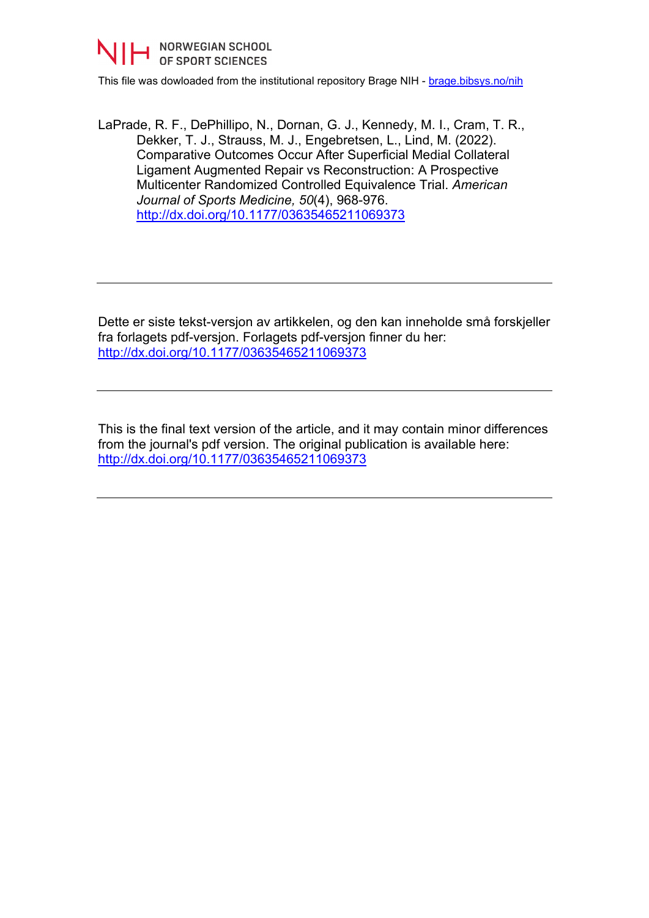

This file was dowloaded from the institutional repository Brage NIH - [brage.bibsys.no/nih](http://brage.bibsys.no/nih)

LaPrade, R. F., DePhillipo, N., Dornan, G. J., Kennedy, M. I., Cram, T. R., Dekker, T. J., Strauss, M. J., Engebretsen, L., Lind, M. (2022). Comparative Outcomes Occur After Superficial Medial Collateral Ligament Augmented Repair vs Reconstruction: A Prospective Multicenter Randomized Controlled Equivalence Trial. *American Journal of Sports Medicine, 50*(4), 968-976. <http://dx.doi.org/10.1177/03635465211069373>

Dette er siste tekst-versjon av artikkelen, og den kan inneholde små forskjeller fra forlagets pdf-versjon. Forlagets pdf-versjon finner du her: <http://dx.doi.org/10.1177/03635465211069373>

This is the final text version of the article, and it may contain minor differences from the journal's pdf version. The original publication is available here: <http://dx.doi.org/10.1177/03635465211069373>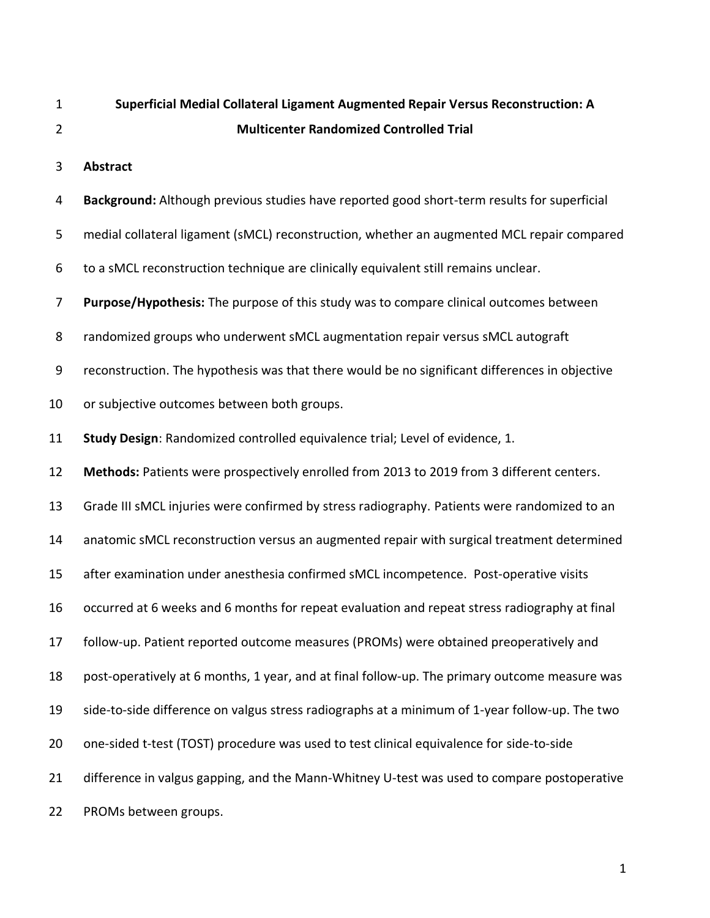| $\mathbf 1$    | Superficial Medial Collateral Ligament Augmented Repair Versus Reconstruction: A               |  |  |  |
|----------------|------------------------------------------------------------------------------------------------|--|--|--|
| $\overline{2}$ | <b>Multicenter Randomized Controlled Trial</b>                                                 |  |  |  |
| 3              | <b>Abstract</b>                                                                                |  |  |  |
| 4              | Background: Although previous studies have reported good short-term results for superficial    |  |  |  |
| 5              | medial collateral ligament (sMCL) reconstruction, whether an augmented MCL repair compared     |  |  |  |
| 6              | to a sMCL reconstruction technique are clinically equivalent still remains unclear.            |  |  |  |
| 7              | Purpose/Hypothesis: The purpose of this study was to compare clinical outcomes between         |  |  |  |
| 8              | randomized groups who underwent sMCL augmentation repair versus sMCL autograft                 |  |  |  |
| 9              | reconstruction. The hypothesis was that there would be no significant differences in objective |  |  |  |
| 10             | or subjective outcomes between both groups.                                                    |  |  |  |
| 11             | Study Design: Randomized controlled equivalence trial; Level of evidence, 1.                   |  |  |  |
| 12             | Methods: Patients were prospectively enrolled from 2013 to 2019 from 3 different centers.      |  |  |  |
| 13             | Grade III sMCL injuries were confirmed by stress radiography. Patients were randomized to an   |  |  |  |
| 14             | anatomic sMCL reconstruction versus an augmented repair with surgical treatment determined     |  |  |  |
| 15             | after examination under anesthesia confirmed sMCL incompetence. Post-operative visits          |  |  |  |
| 16             | occurred at 6 weeks and 6 months for repeat evaluation and repeat stress radiography at final  |  |  |  |
| 17             | follow-up. Patient reported outcome measures (PROMs) were obtained preoperatively and          |  |  |  |
| 18             | post-operatively at 6 months, 1 year, and at final follow-up. The primary outcome measure was  |  |  |  |
| 19             | side-to-side difference on valgus stress radiographs at a minimum of 1-year follow-up. The two |  |  |  |
| 20             | one-sided t-test (TOST) procedure was used to test clinical equivalence for side-to-side       |  |  |  |
| 21             | difference in valgus gapping, and the Mann-Whitney U-test was used to compare postoperative    |  |  |  |
| 22             | PROMs between groups.                                                                          |  |  |  |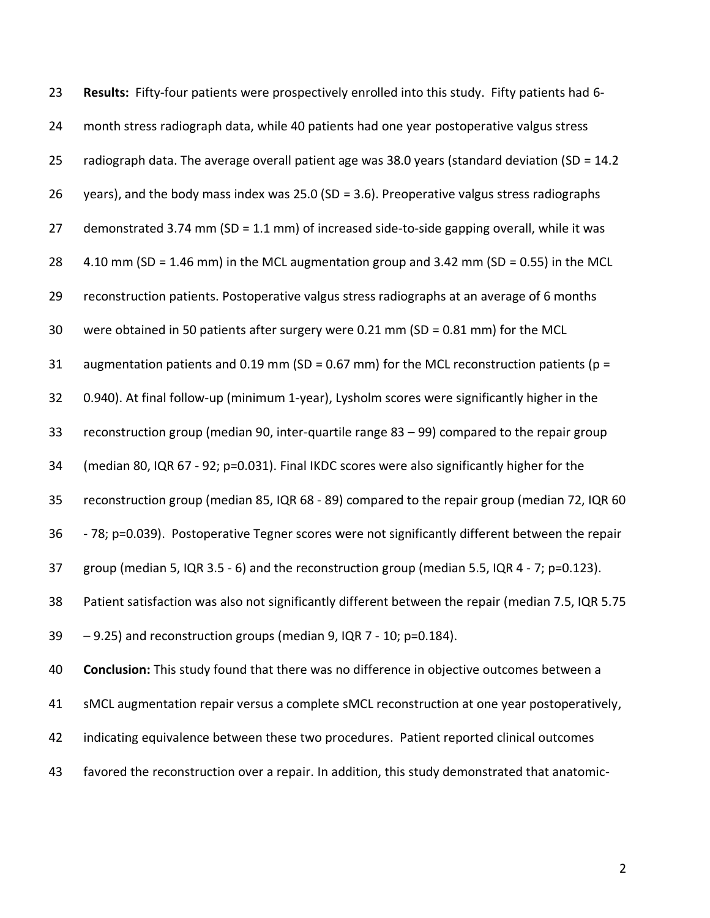| 23 | Results: Fifty-four patients were prospectively enrolled into this study. Fifty patients had 6-    |
|----|----------------------------------------------------------------------------------------------------|
| 24 | month stress radiograph data, while 40 patients had one year postoperative valgus stress           |
| 25 | radiograph data. The average overall patient age was 38.0 years (standard deviation (SD = 14.2)    |
| 26 | years), and the body mass index was 25.0 (SD = 3.6). Preoperative valgus stress radiographs        |
| 27 | demonstrated 3.74 mm (SD = 1.1 mm) of increased side-to-side gapping overall, while it was         |
| 28 | 4.10 mm (SD = 1.46 mm) in the MCL augmentation group and 3.42 mm (SD = 0.55) in the MCL            |
| 29 | reconstruction patients. Postoperative valgus stress radiographs at an average of 6 months         |
| 30 | were obtained in 50 patients after surgery were 0.21 mm (SD = $0.81$ mm) for the MCL               |
| 31 | augmentation patients and 0.19 mm (SD = 0.67 mm) for the MCL reconstruction patients ( $p =$       |
| 32 | 0.940). At final follow-up (minimum 1-year), Lysholm scores were significantly higher in the       |
| 33 | reconstruction group (median 90, inter-quartile range $83 - 99$ ) compared to the repair group     |
| 34 | (median 80, IQR 67 - 92; p=0.031). Final IKDC scores were also significantly higher for the        |
| 35 | reconstruction group (median 85, IQR 68 - 89) compared to the repair group (median 72, IQR 60      |
| 36 | -78; p=0.039). Postoperative Tegner scores were not significantly different between the repair     |
| 37 | group (median 5, IQR 3.5 - 6) and the reconstruction group (median 5.5, IQR 4 - 7; p=0.123).       |
| 38 | Patient satisfaction was also not significantly different between the repair (median 7.5, IQR 5.75 |
| 39 | -9.25) and reconstruction groups (median 9, IQR 7 - 10; p=0.184).                                  |
| 40 | Conclusion: This study found that there was no difference in objective outcomes between a          |
| 41 | sMCL augmentation repair versus a complete sMCL reconstruction at one year postoperatively,        |
| 42 | indicating equivalence between these two procedures. Patient reported clinical outcomes            |
| 43 | favored the reconstruction over a repair. In addition, this study demonstrated that anatomic-      |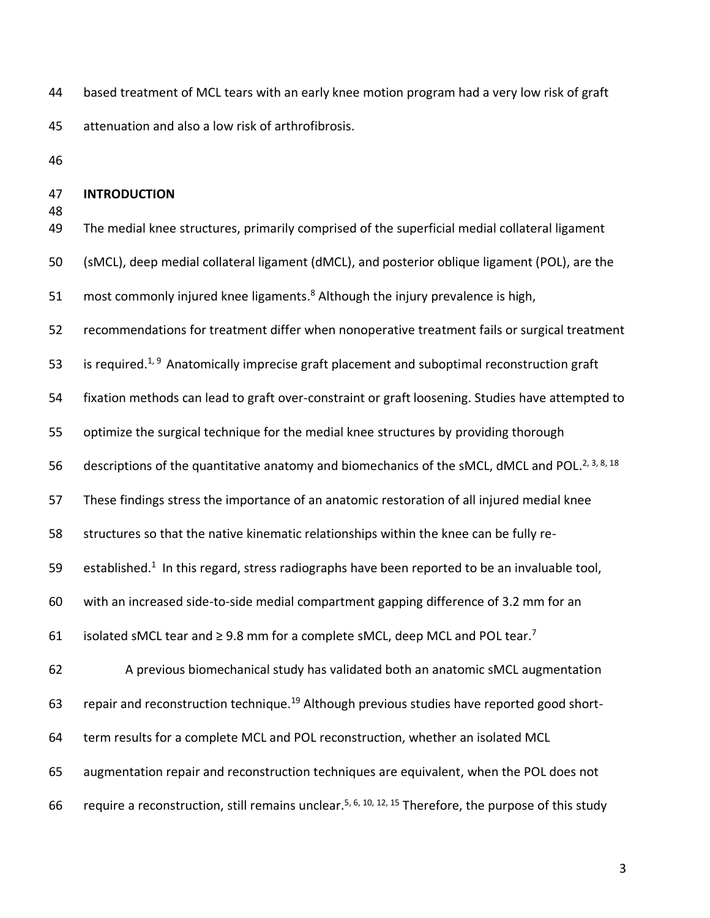based treatment of MCL tears with an early knee motion program had a very low risk of graft attenuation and also a low risk of arthrofibrosis.

# **INTRODUCTION**

 The medial knee structures, primarily comprised of the superficial medial collateral ligament (sMCL), deep medial collateral ligament (dMCL), and posterior oblique ligament (POL), are the 51 most commonly injured knee ligaments.<sup>8</sup> Although the injury prevalence is high, recommendations for treatment differ when nonoperative treatment fails or surgical treatment 53 is required.<sup>1, 9</sup> Anatomically imprecise graft placement and suboptimal reconstruction graft fixation methods can lead to graft over-constraint or graft loosening. Studies have attempted to optimize the surgical technique for the medial knee structures by providing thorough 56 descriptions of the quantitative anatomy and biomechanics of the sMCL, dMCL and POL.<sup>2, 3, 8, 18</sup> These findings stress the importance of an anatomic restoration of all injured medial knee structures so that the native kinematic relationships within the knee can be fully re-59 established.<sup>1</sup> In this regard, stress radiographs have been reported to be an invaluable tool, with an increased side-to-side medial compartment gapping difference of 3.2 mm for an 61 isolated sMCL tear and  $\geq$  9.8 mm for a complete sMCL, deep MCL and POL tear.<sup>7</sup> A previous biomechanical study has validated both an anatomic sMCL augmentation 63 repair and reconstruction technique.<sup>19</sup> Although previous studies have reported good short- term results for a complete MCL and POL reconstruction, whether an isolated MCL augmentation repair and reconstruction techniques are equivalent, when the POL does not 66 require a reconstruction, still remains unclear.<sup>5, 6, 10, 12, 15</sup> Therefore, the purpose of this study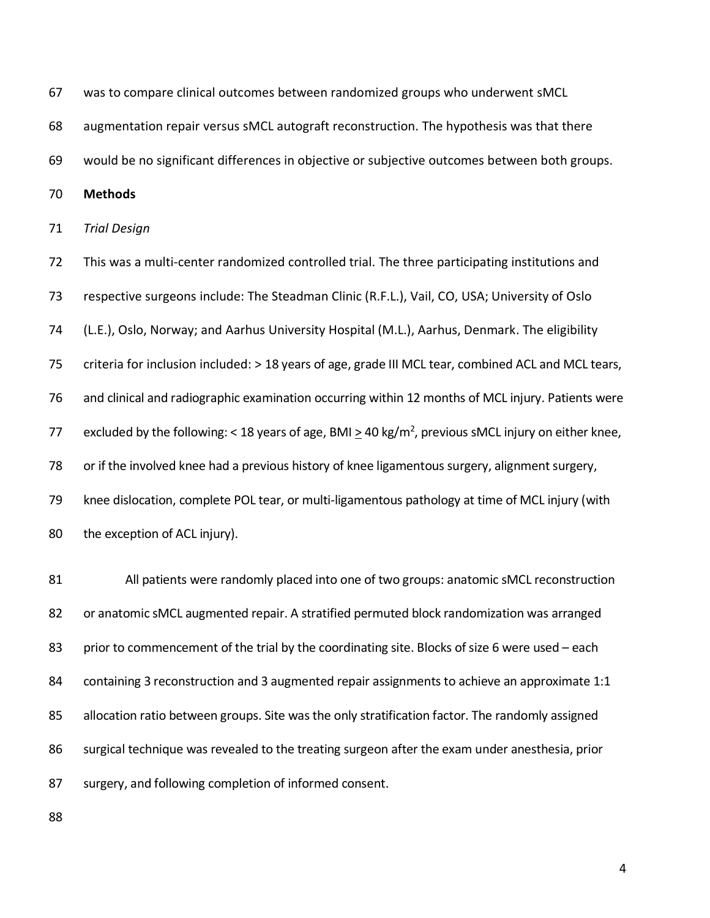was to compare clinical outcomes between randomized groups who underwent sMCL augmentation repair versus sMCL autograft reconstruction. The hypothesis was that there would be no significant differences in objective or subjective outcomes between both groups. **Methods** *Trial Design* This was a multi-center randomized controlled trial. The three participating institutions and respective surgeons include: The Steadman Clinic (R.F.L.), Vail, CO, USA; University of Oslo (L.E.), Oslo, Norway; and Aarhus University Hospital (M.L.), Aarhus, Denmark. The eligibility criteria for inclusion included: > 18 years of age, grade III MCL tear, combined ACL and MCL tears, and clinical and radiographic examination occurring within 12 months of MCL injury. Patients were 77 excluded by the following: < 18 years of age, BMI > 40 kg/m<sup>2</sup>, previous sMCL injury on either knee, or if the involved knee had a previous history of knee ligamentous surgery, alignment surgery, knee dislocation, complete POL tear, or multi-ligamentous pathology at time of MCL injury (with 80 the exception of ACL injury).

81 All patients were randomly placed into one of two groups: anatomic sMCL reconstruction or anatomic sMCL augmented repair. A stratified permuted block randomization was arranged 83 prior to commencement of the trial by the coordinating site. Blocks of size 6 were used – each 84 containing 3 reconstruction and 3 augmented repair assignments to achieve an approximate 1:1 85 allocation ratio between groups. Site was the only stratification factor. The randomly assigned surgical technique was revealed to the treating surgeon after the exam under anesthesia, prior surgery, and following completion of informed consent.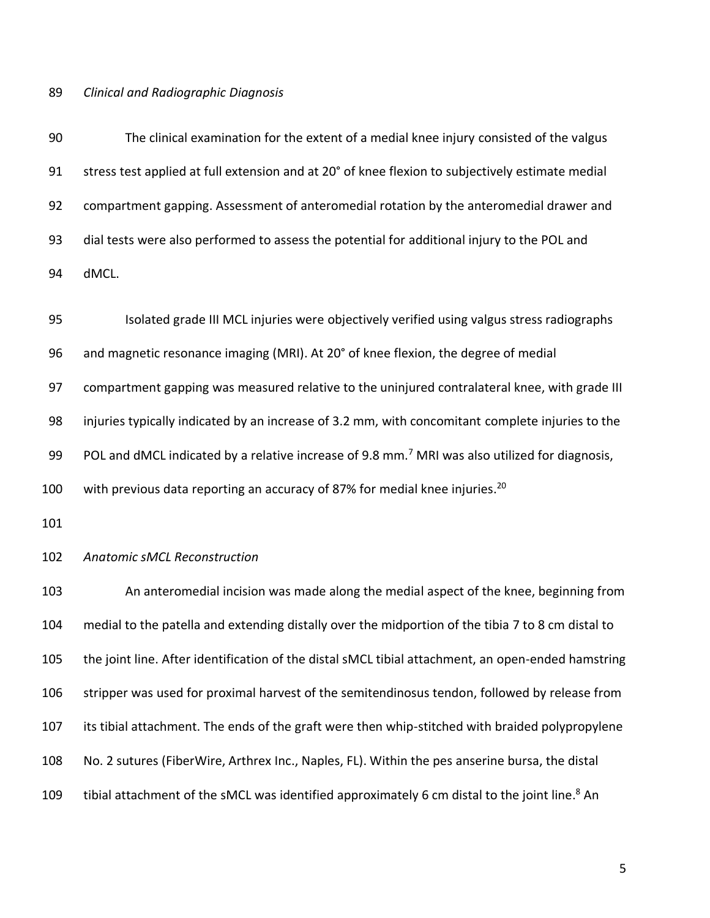## *Clinical and Radiographic Diagnosis*

 The clinical examination for the extent of a medial knee injury consisted of the valgus stress test applied at full extension and at 20° of knee flexion to subjectively estimate medial compartment gapping. Assessment of anteromedial rotation by the anteromedial drawer and dial tests were also performed to assess the potential for additional injury to the POL and dMCL.

 Isolated grade III MCL injuries were objectively verified using valgus stress radiographs and magnetic resonance imaging (MRI). At 20° of knee flexion, the degree of medial compartment gapping was measured relative to the uninjured contralateral knee, with grade III injuries typically indicated by an increase of 3.2 mm, with concomitant complete injuries to the 99 POL and dMCL indicated by a relative increase of 9.8 mm.<sup>7</sup> MRI was also utilized for diagnosis, 100 with previous data reporting an accuracy of 87% for medial knee injuries.<sup>20</sup>

## *Anatomic sMCL Reconstruction*

 An anteromedial incision was made along the medial aspect of the knee, beginning from medial to the patella and extending distally over the midportion of the tibia 7 to 8 cm distal to the joint line. After identification of the distal sMCL tibial attachment, an open-ended hamstring stripper was used for proximal harvest of the semitendinosus tendon, followed by release from its tibial attachment. The ends of the graft were then whip-stitched with braided polypropylene No. 2 sutures (FiberWire, Arthrex Inc., Naples, FL). Within the pes anserine bursa, the distal 109 tibial attachment of the sMCL was identified approximately 6 cm distal to the joint line.<sup>8</sup> An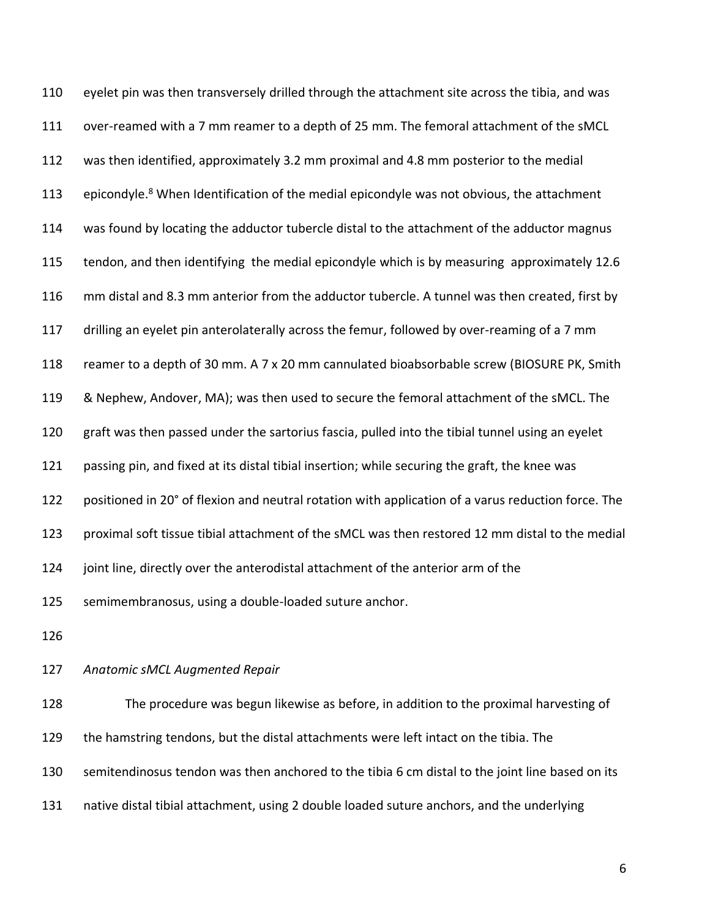eyelet pin was then transversely drilled through the attachment site across the tibia, and was over-reamed with a 7 mm reamer to a depth of 25 mm. The femoral attachment of the sMCL was then identified, approximately 3.2 mm proximal and 4.8 mm posterior to the medial 113 epicondyle.<sup>8</sup> When Identification of the medial epicondyle was not obvious, the attachment was found by locating the adductor tubercle distal to the attachment of the adductor magnus tendon, and then identifying the medial epicondyle which is by measuring approximately 12.6 mm distal and 8.3 mm anterior from the adductor tubercle. A tunnel was then created, first by drilling an eyelet pin anterolaterally across the femur, followed by over-reaming of a 7 mm reamer to a depth of 30 mm. A 7 x 20 mm cannulated bioabsorbable screw (BIOSURE PK, Smith & Nephew, Andover, MA); was then used to secure the femoral attachment of the sMCL. The graft was then passed under the sartorius fascia, pulled into the tibial tunnel using an eyelet passing pin, and fixed at its distal tibial insertion; while securing the graft, the knee was positioned in 20° of flexion and neutral rotation with application of a varus reduction force. The proximal soft tissue tibial attachment of the sMCL was then restored 12 mm distal to the medial joint line, directly over the anterodistal attachment of the anterior arm of the semimembranosus, using a double-loaded suture anchor. 

## *Anatomic sMCL Augmented Repair*

 The procedure was begun likewise as before, in addition to the proximal harvesting of the hamstring tendons, but the distal attachments were left intact on the tibia. The semitendinosus tendon was then anchored to the tibia 6 cm distal to the joint line based on its native distal tibial attachment, using 2 double loaded suture anchors, and the underlying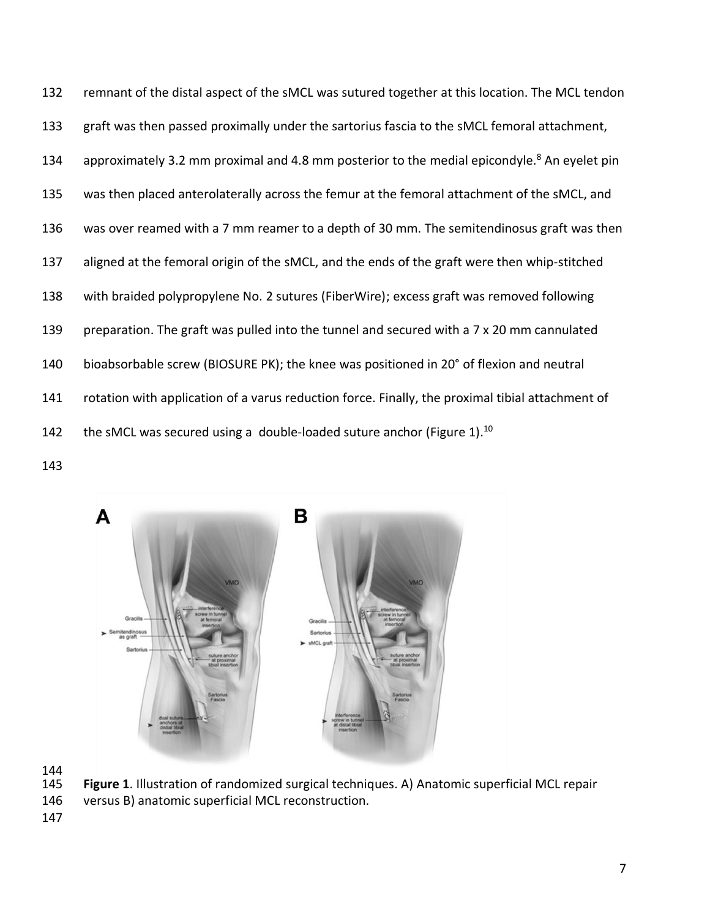remnant of the distal aspect of the sMCL was sutured together at this location. The MCL tendon graft was then passed proximally under the sartorius fascia to the sMCL femoral attachment, 134 approximately 3.2 mm proximal and 4.8 mm posterior to the medial epicondyle.<sup>8</sup> An eyelet pin was then placed anterolaterally across the femur at the femoral attachment of the sMCL, and was over reamed with a 7 mm reamer to a depth of 30 mm. The semitendinosus graft was then aligned at the femoral origin of the sMCL, and the ends of the graft were then whip-stitched with braided polypropylene No. 2 sutures (FiberWire); excess graft was removed following 139 preparation. The graft was pulled into the tunnel and secured with a 7 x 20 mm cannulated bioabsorbable screw (BIOSURE PK); the knee was positioned in 20° of flexion and neutral rotation with application of a varus reduction force. Finally, the proximal tibial attachment of 142 the sMCL was secured using a double-loaded suture anchor (Figure 1).<sup>10</sup>



144<br>145

Figure 1. Illustration of randomized surgical techniques. A) Anatomic superficial MCL repair

versus B) anatomic superficial MCL reconstruction.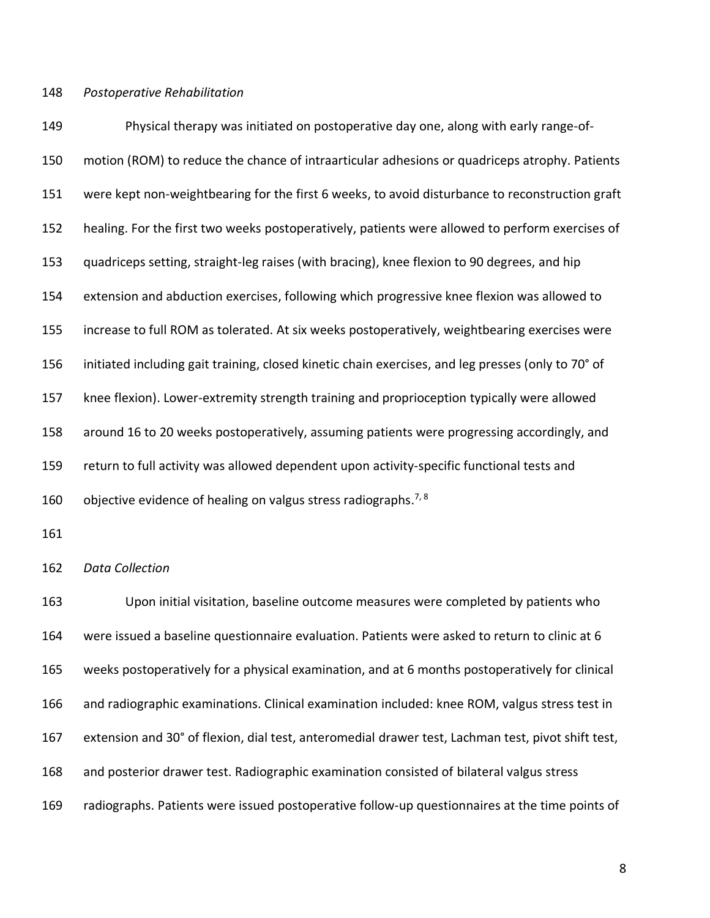## *Postoperative Rehabilitation*

 Physical therapy was initiated on postoperative day one, along with early range-of- motion (ROM) to reduce the chance of intraarticular adhesions or quadriceps atrophy. Patients were kept non-weightbearing for the first 6 weeks, to avoid disturbance to reconstruction graft healing. For the first two weeks postoperatively, patients were allowed to perform exercises of quadriceps setting, straight-leg raises (with bracing), knee flexion to 90 degrees, and hip extension and abduction exercises, following which progressive knee flexion was allowed to increase to full ROM as tolerated. At six weeks postoperatively, weightbearing exercises were initiated including gait training, closed kinetic chain exercises, and leg presses (only to 70° of knee flexion). Lower-extremity strength training and proprioception typically were allowed around 16 to 20 weeks postoperatively, assuming patients were progressing accordingly, and return to full activity was allowed dependent upon activity-specific functional tests and 160 objective evidence of healing on valgus stress radiographs.<sup>7, 8</sup>

*Data Collection*

 Upon initial visitation, baseline outcome measures were completed by patients who were issued a baseline questionnaire evaluation. Patients were asked to return to clinic at 6 weeks postoperatively for a physical examination, and at 6 months postoperatively for clinical and radiographic examinations. Clinical examination included: knee ROM, valgus stress test in extension and 30° of flexion, dial test, anteromedial drawer test, Lachman test, pivot shift test, and posterior drawer test. Radiographic examination consisted of bilateral valgus stress radiographs. Patients were issued postoperative follow-up questionnaires at the time points of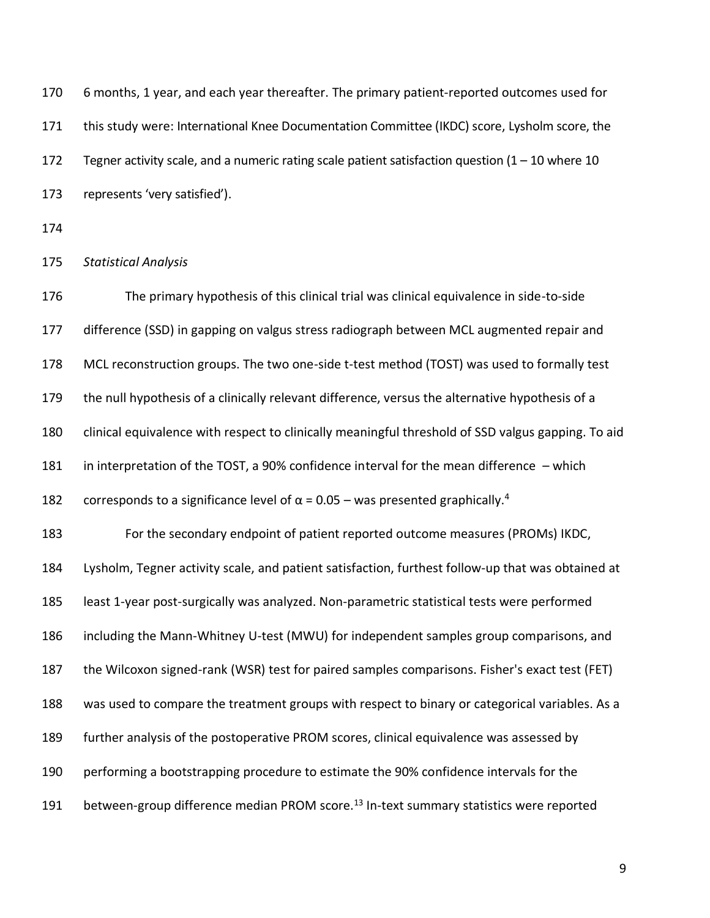6 months, 1 year, and each year thereafter. The primary patient-reported outcomes used for this study were: International Knee Documentation Committee (IKDC) score, Lysholm score, the 172 Tegner activity scale, and a numeric rating scale patient satisfaction question  $(1 - 10$  where 10 represents 'very satisfied'). *Statistical Analysis* The primary hypothesis of this clinical trial was clinical equivalence in side-to-side difference (SSD) in gapping on valgus stress radiograph between MCL augmented repair and MCL reconstruction groups. The two one-side t-test method (TOST) was used to formally test 179 the null hypothesis of a clinically relevant difference, versus the alternative hypothesis of a clinical equivalence with respect to clinically meaningful threshold of SSD valgus gapping. To aid in interpretation of the TOST, a 90% confidence interval for the mean difference – which 182 corresponds to a significance level of  $\alpha$  = 0.05 – was presented graphically.<sup>4</sup> For the secondary endpoint of patient reported outcome measures (PROMs) IKDC, Lysholm, Tegner activity scale, and patient satisfaction, furthest follow-up that was obtained at least 1-year post-surgically was analyzed. Non-parametric statistical tests were performed including the Mann-Whitney U-test (MWU) for independent samples group comparisons, and the Wilcoxon signed-rank (WSR) test for paired samples comparisons. Fisher's exact test (FET) was used to compare the treatment groups with respect to binary or categorical variables. As a further analysis of the postoperative PROM scores, clinical equivalence was assessed by performing a bootstrapping procedure to estimate the 90% confidence intervals for the 191 between-group difference median PROM score.<sup>13</sup> In-text summary statistics were reported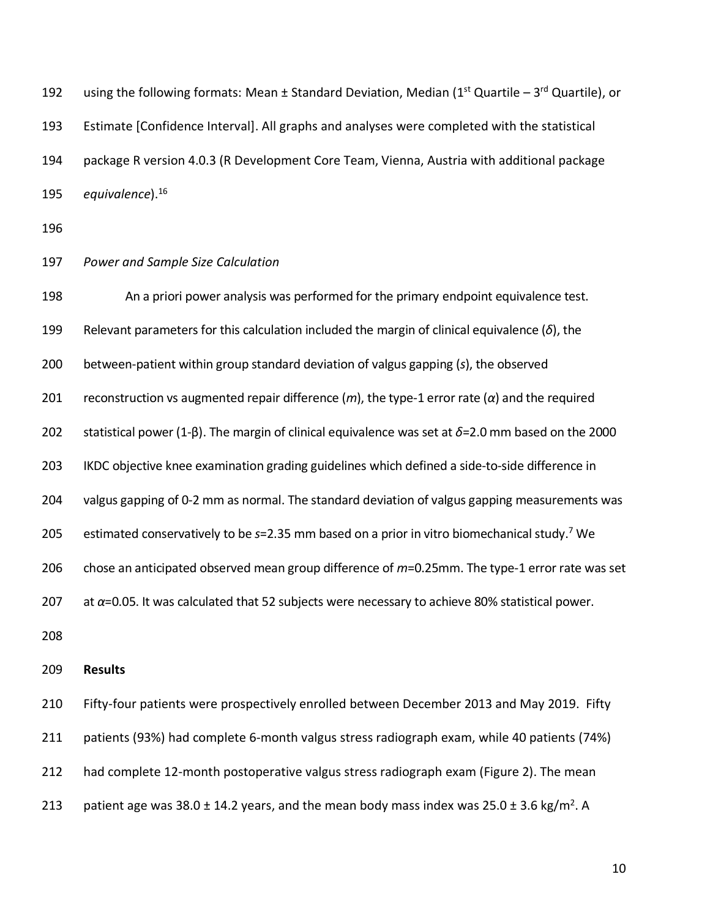192 using the following formats: Mean  $\pm$  Standard Deviation, Median (1<sup>st</sup> Quartile – 3<sup>rd</sup> Quartile), or Estimate [Confidence Interval]. All graphs and analyses were completed with the statistical package R version 4.0.3 (R Development Core Team, Vienna, Austria with additional package 195 equivalence).<sup>16</sup>

# *Power and Sample Size Calculation*

 An a priori power analysis was performed for the primary endpoint equivalence test. Relevant parameters for this calculation included the margin of clinical equivalence (*δ*), the between-patient within group standard deviation of valgus gapping (*s*), the observed reconstruction vs augmented repair difference (*m*), the type-1 error rate (*α*) and the required statistical power (1-β). The margin of clinical equivalence was set at *δ*=2.0 mm based on the 2000 IKDC objective knee examination grading guidelines which defined a side-to-side difference in valgus gapping of 0-2 mm as normal. The standard deviation of valgus gapping measurements was 205 estimated conservatively to be *s*=2.35 mm based on a prior in vitro biomechanical study.<sup>7</sup> We chose an anticipated observed mean group difference of *m*=0.25mm. The type-1 error rate was set at *α*=0.05. It was calculated that 52 subjects were necessary to achieve 80% statistical power. 

#### **Results**

 Fifty-four patients were prospectively enrolled between December 2013 and May 2019. Fifty patients (93%) had complete 6-month valgus stress radiograph exam, while 40 patients (74%) had complete 12-month postoperative valgus stress radiograph exam (Figure 2). The mean 213 patient age was  $38.0 \pm 14.2$  years, and the mean body mass index was  $25.0 \pm 3.6$  kg/m<sup>2</sup>. A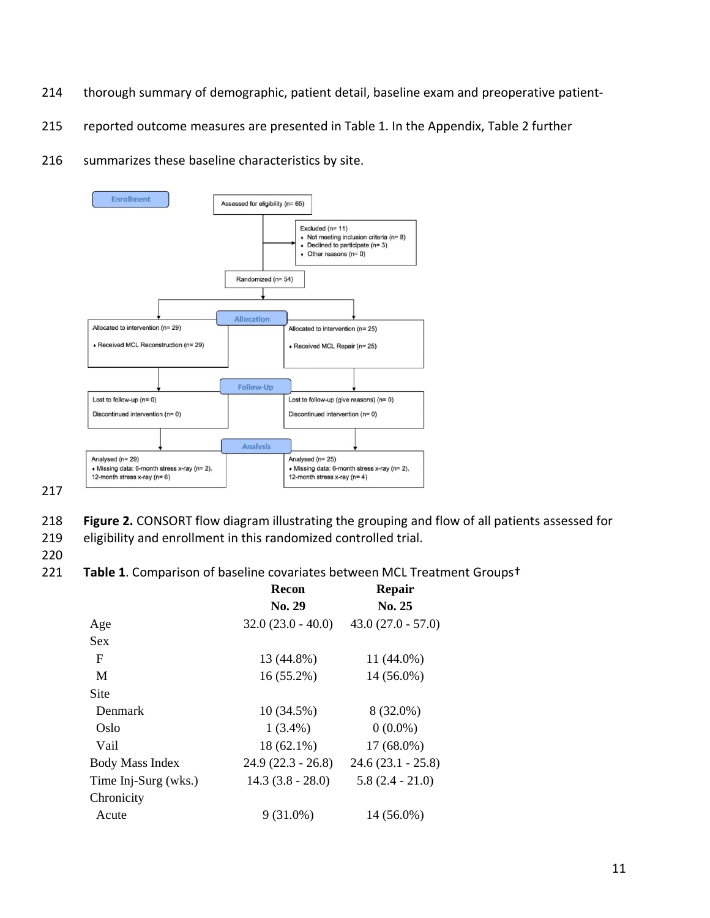- 214 thorough summary of demographic, patient detail, baseline exam and preoperative patient-
- 215 reported outcome measures are presented in Table 1. In the Appendix, Table 2 further
- 216 summarizes these baseline characteristics by site.



217

- 218 **Figure 2.** CONSORT flow diagram illustrating the grouping and flow of all patients assessed for
- 219 eligibility and enrollment in this randomized controlled trial.

220

221 **Table 1**. Comparison of baseline covariates between MCL Treatment Groups†

|                        | <b>Recon</b>        | <b>Repair</b>       |  |
|------------------------|---------------------|---------------------|--|
|                        | No. 29              | No. 25              |  |
| Age                    | $32.0(23.0 - 40.0)$ | $43.0(27.0 - 57.0)$ |  |
| Sex                    |                     |                     |  |
| F                      | 13 (44.8%)          | 11 (44.0%)          |  |
| M                      | $16(55.2\%)$        | 14 (56.0%)          |  |
| Site                   |                     |                     |  |
| Denmark                | 10 (34.5%)          | 8 (32.0%)           |  |
| Oslo                   | $1(3.4\%)$          | $0(0.0\%)$          |  |
| Vail                   | $18(62.1\%)$        | $17(68.0\%)$        |  |
| <b>Body Mass Index</b> | $24.9(22.3 - 26.8)$ | $24.6(23.1 - 25.8)$ |  |
| Time Inj-Surg (wks.)   | $14.3(3.8 - 28.0)$  | $5.8(2.4 - 21.0)$   |  |
| Chronicity             |                     |                     |  |
| Acute                  | $9(31.0\%)$         | 14 (56.0%)          |  |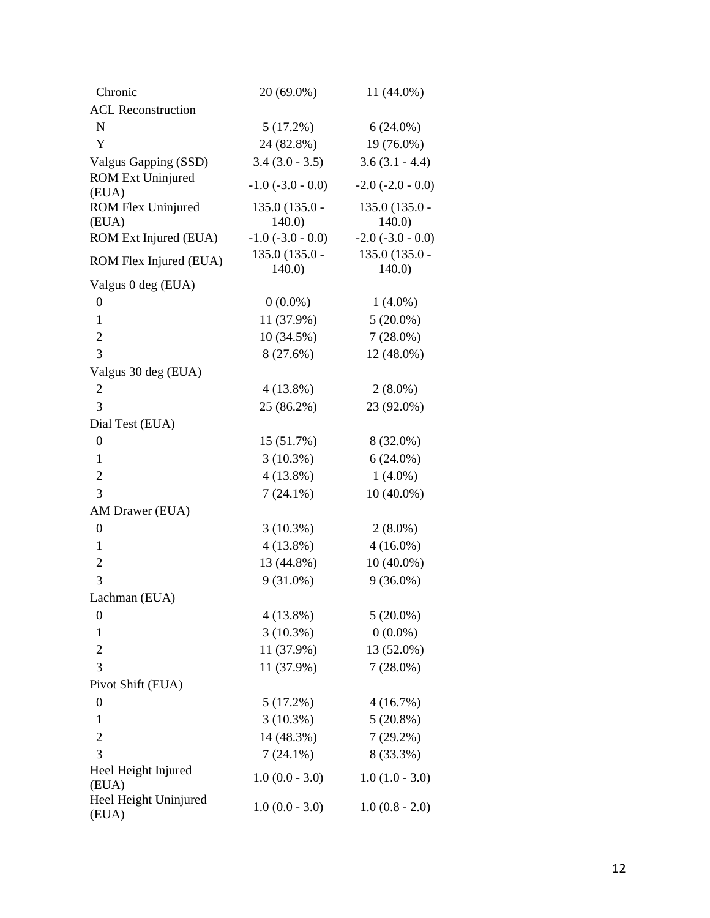| Chronic                           | 20 (69.0%)               | 11 (44.0%)              |
|-----------------------------------|--------------------------|-------------------------|
| <b>ACL Reconstruction</b>         |                          |                         |
| ${\bf N}$                         | 5(17.2%)                 | $6(24.0\%)$             |
| Y                                 | 24 (82.8%)               | 19 (76.0%)              |
| Valgus Gapping (SSD)              | $3.4(3.0 - 3.5)$         | $3.6(3.1 - 4.4)$        |
| <b>ROM Ext Uninjured</b><br>(EUA) | $-1.0$ ( $-3.0$ $-0.0$ ) | $-2.0$ $(-2.0 - 0.0)$   |
| ROM Flex Uninjured<br>(EUA)       | $135.0(135.0 -$<br>140.0 | 135.0 (135.0 -<br>140.0 |
| ROM Ext Injured (EUA)             | $-1.0$ $(-3.0 - 0.0)$    | $-2.0$ $(-3.0 - 0.0)$   |
| ROM Flex Injured (EUA)            | $135.0(135.0 -$<br>140.0 | 135.0 (135.0 -<br>140.0 |
| Valgus 0 deg (EUA)                |                          |                         |
| 0                                 | $0(0.0\%)$               | $1(4.0\%)$              |
| $\mathbf{1}$                      | 11 (37.9%)               | $5(20.0\%)$             |
| $\overline{2}$                    | 10(34.5%)                | $7(28.0\%)$             |
| $\overline{3}$                    | 8 (27.6%)                | 12 (48.0%)              |
| Valgus 30 deg (EUA)               |                          |                         |
| $\overline{c}$                    | $4(13.8\%)$              | $2(8.0\%)$              |
| 3                                 | $25(86.2\%)$             | 23 (92.0%)              |
| Dial Test (EUA)                   |                          |                         |
| $\boldsymbol{0}$                  | 15 (51.7%)               | 8 (32.0%)               |
| $\mathbf{1}$                      | $3(10.3\%)$              | $6(24.0\%)$             |
| $\mathbf 2$                       | $4(13.8\%)$              | $1(4.0\%)$              |
| 3                                 | $7(24.1\%)$              | $10(40.0\%)$            |
| AM Drawer (EUA)                   |                          |                         |
| $\boldsymbol{0}$                  | $3(10.3\%)$              | $2(8.0\%)$              |
| 1                                 | $4(13.8\%)$              | $4(16.0\%)$             |
| $\overline{c}$                    | 13 (44.8%)               | $10(40.0\%)$            |
| 3                                 | $9(31.0\%)$              | $9(36.0\%)$             |
| Lachman (EUA)                     |                          |                         |
| 0                                 | $4(13.8\%)$              | $5(20.0\%)$             |
| $\mathbf{1}$                      | $3(10.3\%)$              | $0(0.0\%)$              |
| $\overline{c}$                    | $11(37.9\%)$             | 13 (52.0%)              |
| 3                                 | 11 (37.9%)               | $7(28.0\%)$             |
| Pivot Shift (EUA)                 |                          |                         |
| $\boldsymbol{0}$                  | 5(17.2%)                 | 4(16.7%)                |
| $\mathbf{1}$                      | $3(10.3\%)$              | $5(20.8\%)$             |
| $\overline{2}$                    | 14 (48.3%)               | $7(29.2\%)$             |
| 3                                 | $7(24.1\%)$              | 8 (33.3%)               |
| Heel Height Injured<br>(EUA)      | $1.0(0.0 - 3.0)$         | $1.0(1.0 - 3.0)$        |
| Heel Height Uninjured<br>(EUA)    | $1.0(0.0 - 3.0)$         | $1.0(0.8 - 2.0)$        |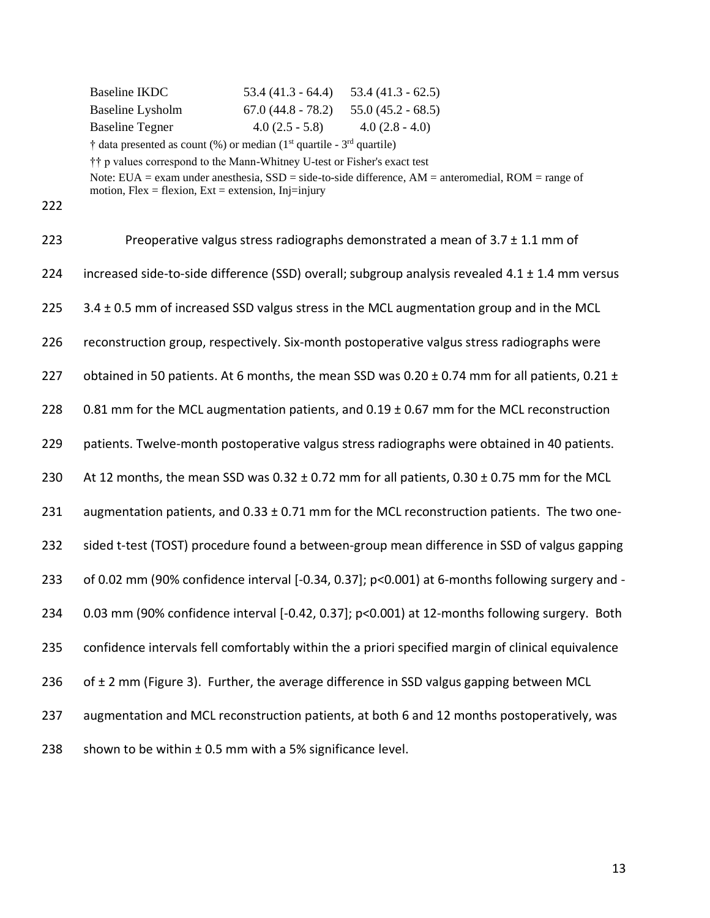| Baseline IKDC          | $53.4(41.3 - 64.4)$ | $53.4(41.3 - 62.5)$ |
|------------------------|---------------------|---------------------|
| Baseline Lysholm       | $67.0(44.8 - 78.2)$ | $55.0(45.2 - 68.5)$ |
| <b>Baseline Tegner</b> | $4.0(2.5 - 5.8)$    | $4.0(2.8 - 4.0)$    |

 $\dagger$  data presented as count (%) or median (1<sup>st</sup> quartile - 3<sup>rd</sup> quartile)

†† p values correspond to the Mann-Whitney U-test or Fisher's exact test

Note: EUA = exam under anesthesia, SSD = side-to-side difference, AM = anteromedial, ROM = range of motion,  $Flex = flexion$ ,  $Ext = extension$ ,  $Inj=injury$ 

| 223 | Preoperative valgus stress radiographs demonstrated a mean of $3.7 \pm 1.1$ mm of                           |
|-----|-------------------------------------------------------------------------------------------------------------|
| 224 | increased side-to-side difference (SSD) overall; subgroup analysis revealed $4.1 \pm 1.4$ mm versus         |
| 225 | 3.4 ± 0.5 mm of increased SSD valgus stress in the MCL augmentation group and in the MCL                    |
| 226 | reconstruction group, respectively. Six-month postoperative valgus stress radiographs were                  |
| 227 | obtained in 50 patients. At 6 months, the mean SSD was $0.20 \pm 0.74$ mm for all patients, $0.21 \pm 0.74$ |
| 228 | 0.81 mm for the MCL augmentation patients, and $0.19 \pm 0.67$ mm for the MCL reconstruction                |
| 229 | patients. Twelve-month postoperative valgus stress radiographs were obtained in 40 patients.                |
| 230 | At 12 months, the mean SSD was $0.32 \pm 0.72$ mm for all patients, $0.30 \pm 0.75$ mm for the MCL          |
| 231 | augmentation patients, and $0.33 \pm 0.71$ mm for the MCL reconstruction patients. The two one-             |
| 232 | sided t-test (TOST) procedure found a between-group mean difference in SSD of valgus gapping                |
| 233 | of 0.02 mm (90% confidence interval [-0.34, 0.37]; p<0.001) at 6-months following surgery and -             |
| 234 | 0.03 mm (90% confidence interval [-0.42, 0.37]; p<0.001) at 12-months following surgery. Both               |
| 235 | confidence intervals fell comfortably within the a priori specified margin of clinical equivalence          |
| 236 | of $\pm$ 2 mm (Figure 3). Further, the average difference in SSD valgus gapping between MCL                 |
| 237 | augmentation and MCL reconstruction patients, at both 6 and 12 months postoperatively, was                  |
| 238 | shown to be within ± 0.5 mm with a 5% significance level.                                                   |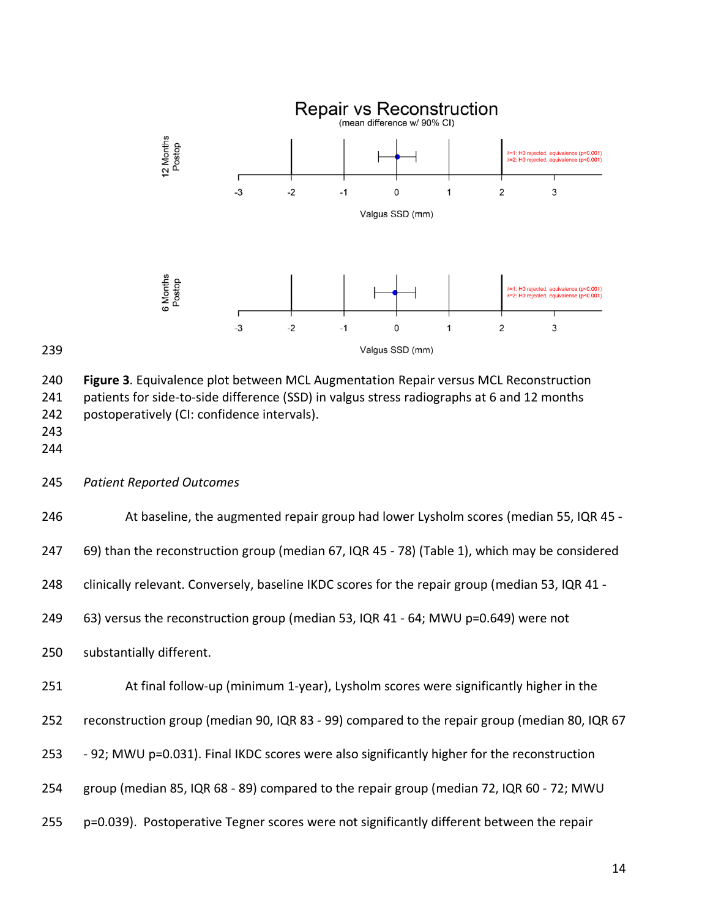



 **Figure 3**. Equivalence plot between MCL Augmentation Repair versus MCL Reconstruction 241 patients for side-to-side difference (SSD) in valgus stress radiographs at 6 and 12 months postoperatively (CI: confidence intervals). 

- 
- *Patient Reported Outcomes*

At baseline, the augmented repair group had lower Lysholm scores (median 55, IQR 45 -

69) than the reconstruction group (median 67, IQR 45 - 78) (Table 1), which may be considered

clinically relevant. Conversely, baseline IKDC scores for the repair group (median 53, IQR 41 -

63) versus the reconstruction group (median 53, IQR 41 - 64; MWU p=0.649) were not

substantially different.

| 251 |  |  |  | At final follow-up (minimum 1-year), Lysholm scores were significantly higher in the |  |
|-----|--|--|--|--------------------------------------------------------------------------------------|--|
|-----|--|--|--|--------------------------------------------------------------------------------------|--|

reconstruction group (median 90, IQR 83 - 99) compared to the repair group (median 80, IQR 67

- 92; MWU p=0.031). Final IKDC scores were also significantly higher for the reconstruction
- group (median 85, IQR 68 89) compared to the repair group (median 72, IQR 60 72; MWU
- p=0.039). Postoperative Tegner scores were not significantly different between the repair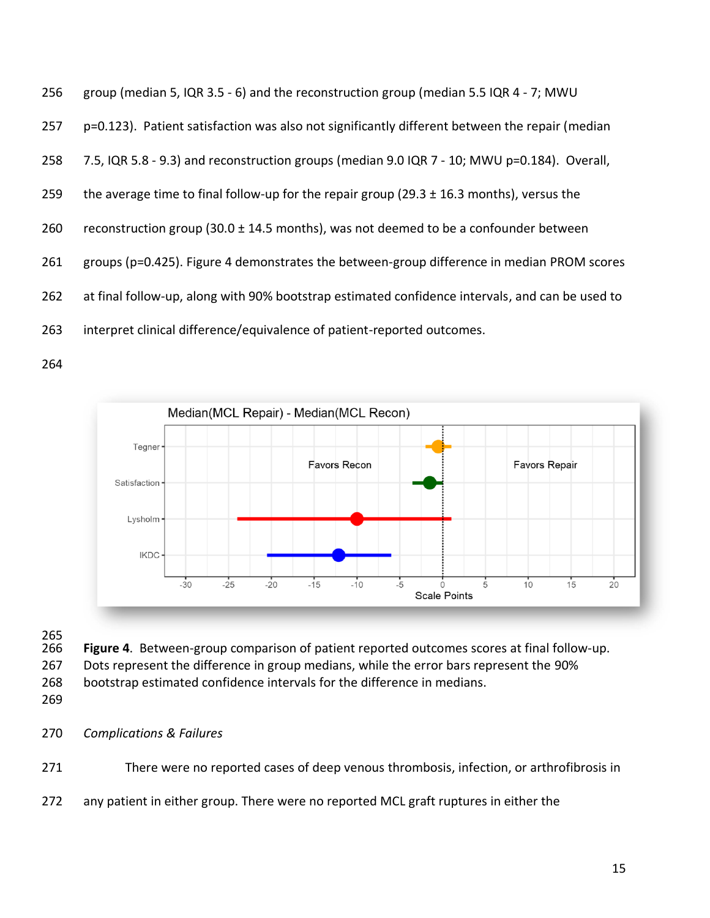group (median 5, IQR 3.5 - 6) and the reconstruction group (median 5.5 IQR 4 - 7; MWU p=0.123). Patient satisfaction was also not significantly different between the repair (median 7.5, IQR 5.8 - 9.3) and reconstruction groups (median 9.0 IQR 7 - 10; MWU p=0.184). Overall, 259 the average time to final follow-up for the repair group (29.3  $\pm$  16.3 months), versus the 260 reconstruction group (30.0  $\pm$  14.5 months), was not deemed to be a confounder between groups (p=0.425). Figure 4 demonstrates the between-group difference in median PROM scores at final follow-up, along with 90% bootstrap estimated confidence intervals, and can be used to interpret clinical difference/equivalence of patient-reported outcomes.



265<br>266

- Figure 4. Between-group comparison of patient reported outcomes scores at final follow-up.
- Dots represent the difference in group medians, while the error bars represent the 90%
- bootstrap estimated confidence intervals for the difference in medians.
- 
- *Complications & Failures*
- There were no reported cases of deep venous thrombosis, infection, or arthrofibrosis in
- any patient in either group. There were no reported MCL graft ruptures in either the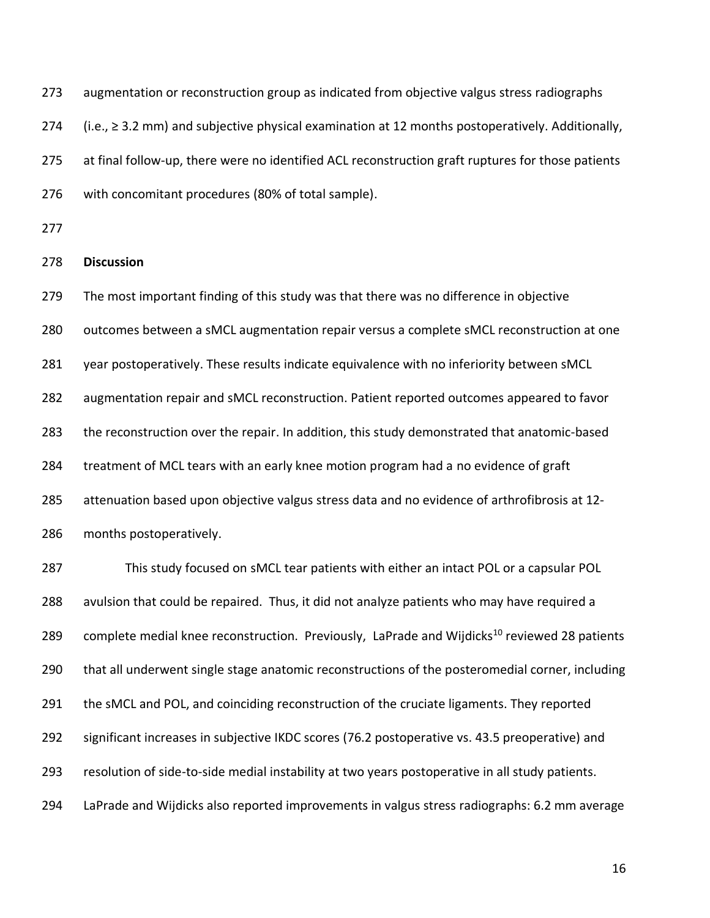augmentation or reconstruction group as indicated from objective valgus stress radiographs (i.e., ≥ 3.2 mm) and subjective physical examination at 12 months postoperatively. Additionally, 275 at final follow-up, there were no identified ACL reconstruction graft ruptures for those patients with concomitant procedures (80% of total sample).

# **Discussion**

 The most important finding of this study was that there was no difference in objective outcomes between a sMCL augmentation repair versus a complete sMCL reconstruction at one year postoperatively. These results indicate equivalence with no inferiority between sMCL augmentation repair and sMCL reconstruction. Patient reported outcomes appeared to favor the reconstruction over the repair. In addition, this study demonstrated that anatomic-based treatment of MCL tears with an early knee motion program had a no evidence of graft attenuation based upon objective valgus stress data and no evidence of arthrofibrosis at 12- months postoperatively.

 This study focused on sMCL tear patients with either an intact POL or a capsular POL avulsion that could be repaired. Thus, it did not analyze patients who may have required a 289 complete medial knee reconstruction. Previously, LaPrade and Wijdicks<sup>10</sup> reviewed 28 patients that all underwent single stage anatomic reconstructions of the posteromedial corner, including 291 the sMCL and POL, and coinciding reconstruction of the cruciate ligaments. They reported significant increases in subjective IKDC scores (76.2 postoperative vs. 43.5 preoperative) and resolution of side-to-side medial instability at two years postoperative in all study patients. LaPrade and Wijdicks also reported improvements in valgus stress radiographs: 6.2 mm average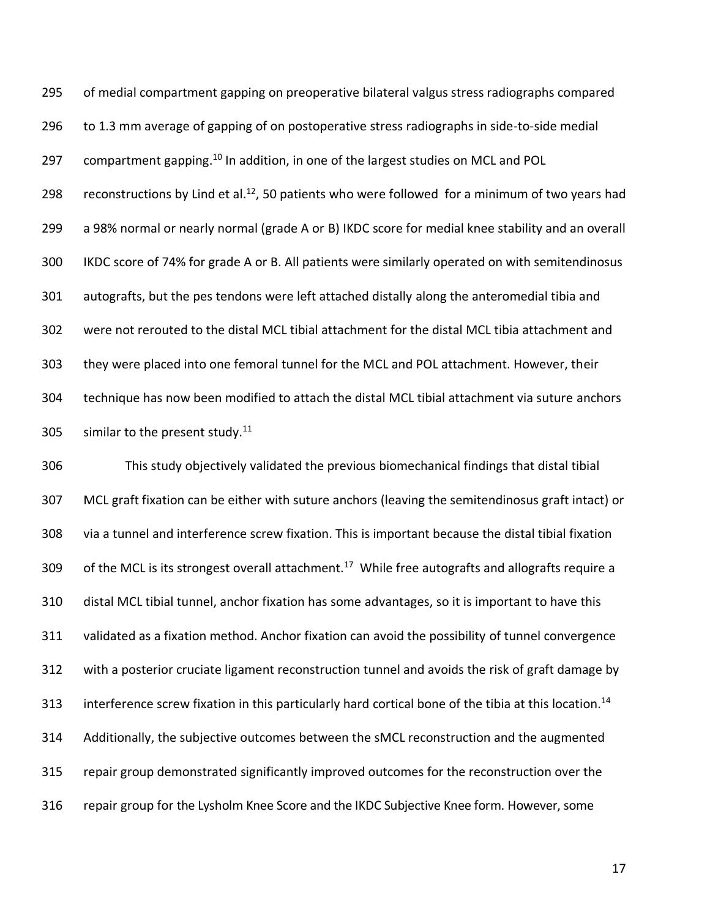of medial compartment gapping on preoperative bilateral valgus stress radiographs compared to 1.3 mm average of gapping of on postoperative stress radiographs in side-to-side medial 297 compartment gapping.<sup>10</sup> In addition, in one of the largest studies on MCL and POL 298 reconstructions by Lind et al.<sup>12</sup>, 50 patients who were followed for a minimum of two years had a 98% normal or nearly normal (grade A or B) IKDC score for medial knee stability and an overall IKDC score of 74% for grade A or B. All patients were similarly operated on with semitendinosus autografts, but the pes tendons were left attached distally along the anteromedial tibia and were not rerouted to the distal MCL tibial attachment for the distal MCL tibia attachment and they were placed into one femoral tunnel for the MCL and POL attachment. However, their technique has now been modified to attach the distal MCL tibial attachment via suture anchors 305 similar to the present study.

 This study objectively validated the previous biomechanical findings that distal tibial MCL graft fixation can be either with suture anchors (leaving the semitendinosus graft intact) or via a tunnel and interference screw fixation. This is important because the distal tibial fixation 309 of the MCL is its strongest overall attachment.<sup>17</sup> While free autografts and allografts require a distal MCL tibial tunnel, anchor fixation has some advantages, so it is important to have this validated as a fixation method. Anchor fixation can avoid the possibility of tunnel convergence with a posterior cruciate ligament reconstruction tunnel and avoids the risk of graft damage by 313 interference screw fixation in this particularly hard cortical bone of the tibia at this location.<sup>14</sup> Additionally, the subjective outcomes between the sMCL reconstruction and the augmented repair group demonstrated significantly improved outcomes for the reconstruction over the repair group for the Lysholm Knee Score and the IKDC Subjective Knee form. However, some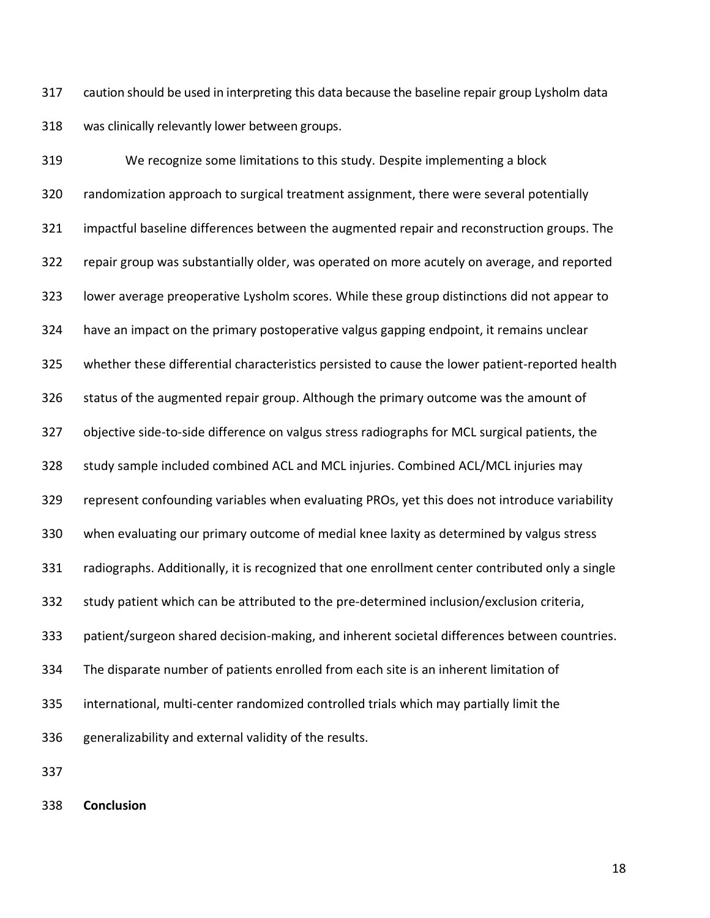caution should be used in interpreting this data because the baseline repair group Lysholm data was clinically relevantly lower between groups.

 We recognize some limitations to this study. Despite implementing a block randomization approach to surgical treatment assignment, there were several potentially impactful baseline differences between the augmented repair and reconstruction groups. The repair group was substantially older, was operated on more acutely on average, and reported lower average preoperative Lysholm scores. While these group distinctions did not appear to have an impact on the primary postoperative valgus gapping endpoint, it remains unclear whether these differential characteristics persisted to cause the lower patient-reported health status of the augmented repair group. Although the primary outcome was the amount of objective side-to-side difference on valgus stress radiographs for MCL surgical patients, the study sample included combined ACL and MCL injuries. Combined ACL/MCL injuries may represent confounding variables when evaluating PROs, yet this does not introduce variability when evaluating our primary outcome of medial knee laxity as determined by valgus stress radiographs. Additionally, it is recognized that one enrollment center contributed only a single study patient which can be attributed to the pre-determined inclusion/exclusion criteria, patient/surgeon shared decision-making, and inherent societal differences between countries. The disparate number of patients enrolled from each site is an inherent limitation of international, multi-center randomized controlled trials which may partially limit the generalizability and external validity of the results.

**Conclusion**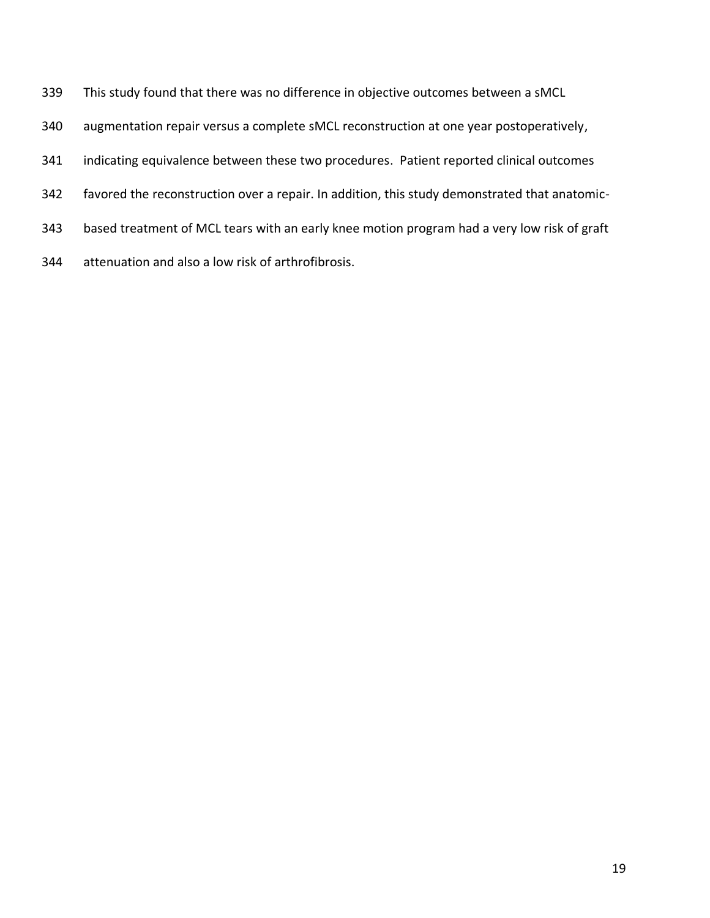- This study found that there was no difference in objective outcomes between a sMCL
- augmentation repair versus a complete sMCL reconstruction at one year postoperatively,
- indicating equivalence between these two procedures. Patient reported clinical outcomes
- favored the reconstruction over a repair. In addition, this study demonstrated that anatomic-
- based treatment of MCL tears with an early knee motion program had a very low risk of graft
- attenuation and also a low risk of arthrofibrosis.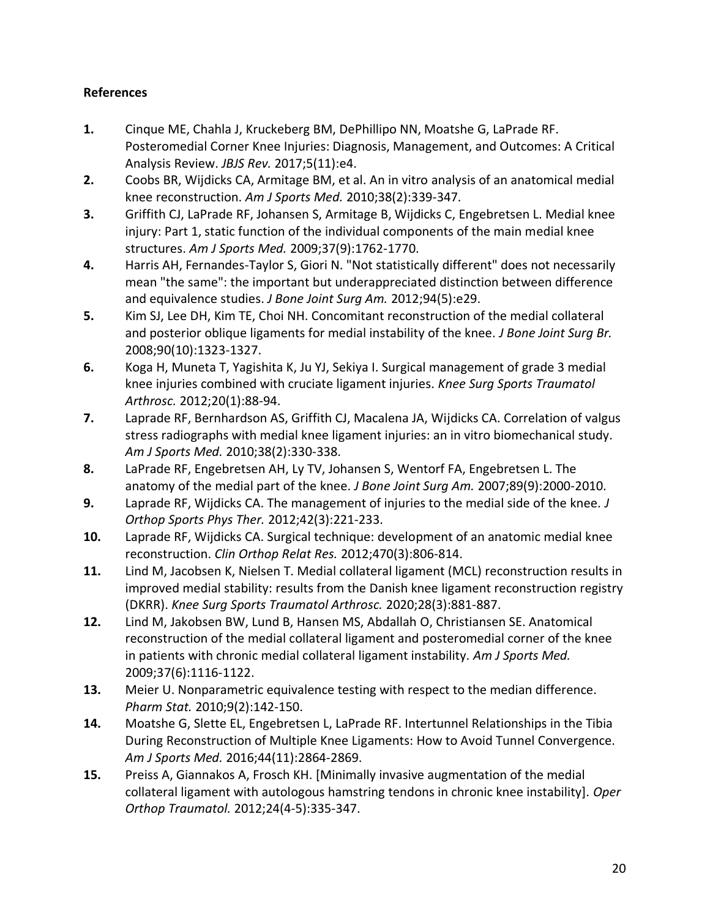# **References**

- **1.** Cinque ME, Chahla J, Kruckeberg BM, DePhillipo NN, Moatshe G, LaPrade RF. Posteromedial Corner Knee Injuries: Diagnosis, Management, and Outcomes: A Critical Analysis Review. *JBJS Rev.* 2017;5(11):e4.
- **2.** Coobs BR, Wijdicks CA, Armitage BM, et al. An in vitro analysis of an anatomical medial knee reconstruction. *Am J Sports Med.* 2010;38(2):339-347.
- **3.** Griffith CJ, LaPrade RF, Johansen S, Armitage B, Wijdicks C, Engebretsen L. Medial knee injury: Part 1, static function of the individual components of the main medial knee structures. *Am J Sports Med.* 2009;37(9):1762-1770.
- **4.** Harris AH, Fernandes-Taylor S, Giori N. "Not statistically different" does not necessarily mean "the same": the important but underappreciated distinction between difference and equivalence studies. *J Bone Joint Surg Am.* 2012;94(5):e29.
- **5.** Kim SJ, Lee DH, Kim TE, Choi NH. Concomitant reconstruction of the medial collateral and posterior oblique ligaments for medial instability of the knee. *J Bone Joint Surg Br.*  2008;90(10):1323-1327.
- **6.** Koga H, Muneta T, Yagishita K, Ju YJ, Sekiya I. Surgical management of grade 3 medial knee injuries combined with cruciate ligament injuries. *Knee Surg Sports Traumatol Arthrosc.* 2012;20(1):88-94.
- **7.** Laprade RF, Bernhardson AS, Griffith CJ, Macalena JA, Wijdicks CA. Correlation of valgus stress radiographs with medial knee ligament injuries: an in vitro biomechanical study. *Am J Sports Med.* 2010;38(2):330-338.
- **8.** LaPrade RF, Engebretsen AH, Ly TV, Johansen S, Wentorf FA, Engebretsen L. The anatomy of the medial part of the knee. *J Bone Joint Surg Am.* 2007;89(9):2000-2010.
- **9.** Laprade RF, Wijdicks CA. The management of injuries to the medial side of the knee. *J Orthop Sports Phys Ther.* 2012;42(3):221-233.
- **10.** Laprade RF, Wijdicks CA. Surgical technique: development of an anatomic medial knee reconstruction. *Clin Orthop Relat Res.* 2012;470(3):806-814.
- **11.** Lind M, Jacobsen K, Nielsen T. Medial collateral ligament (MCL) reconstruction results in improved medial stability: results from the Danish knee ligament reconstruction registry (DKRR). *Knee Surg Sports Traumatol Arthrosc.* 2020;28(3):881-887.
- **12.** Lind M, Jakobsen BW, Lund B, Hansen MS, Abdallah O, Christiansen SE. Anatomical reconstruction of the medial collateral ligament and posteromedial corner of the knee in patients with chronic medial collateral ligament instability. *Am J Sports Med.*  2009;37(6):1116-1122.
- **13.** Meier U. Nonparametric equivalence testing with respect to the median difference. *Pharm Stat.* 2010;9(2):142-150.
- **14.** Moatshe G, Slette EL, Engebretsen L, LaPrade RF. Intertunnel Relationships in the Tibia During Reconstruction of Multiple Knee Ligaments: How to Avoid Tunnel Convergence. *Am J Sports Med.* 2016;44(11):2864-2869.
- **15.** Preiss A, Giannakos A, Frosch KH. [Minimally invasive augmentation of the medial collateral ligament with autologous hamstring tendons in chronic knee instability]. *Oper Orthop Traumatol.* 2012;24(4-5):335-347.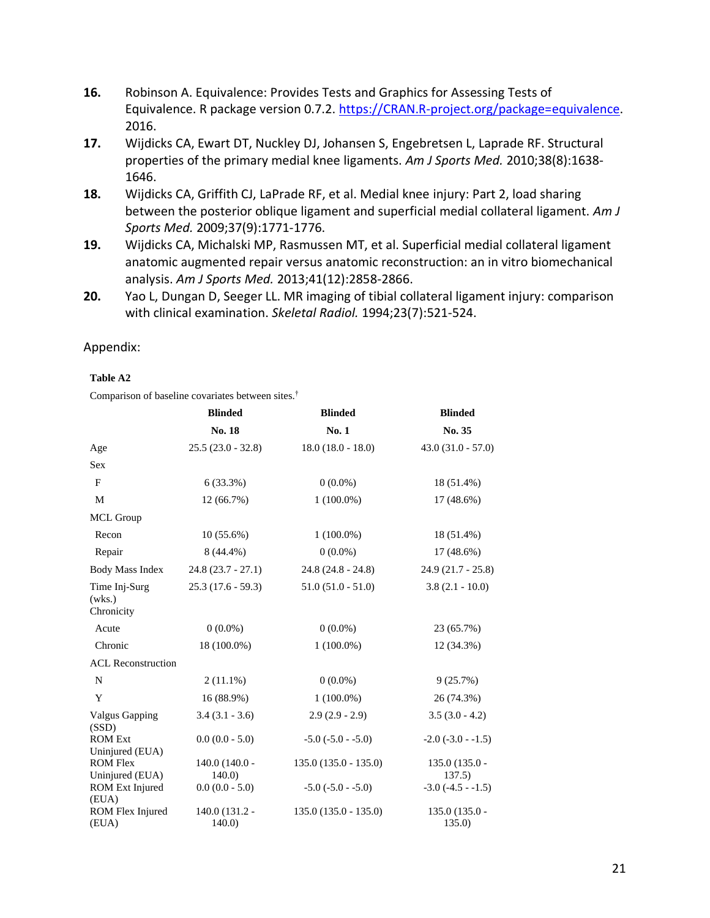- **16.** Robinson A. Equivalence: Provides Tests and Graphics for Assessing Tests of Equivalence. R package version 0.7.2. [https://CRAN.R-project.org/package=equivalence.](https://cran.r-project.org/package=equivalence) 2016.
- **17.** Wijdicks CA, Ewart DT, Nuckley DJ, Johansen S, Engebretsen L, Laprade RF. Structural properties of the primary medial knee ligaments. *Am J Sports Med.* 2010;38(8):1638- 1646.
- **18.** Wijdicks CA, Griffith CJ, LaPrade RF, et al. Medial knee injury: Part 2, load sharing between the posterior oblique ligament and superficial medial collateral ligament. *Am J Sports Med.* 2009;37(9):1771-1776.
- **19.** Wijdicks CA, Michalski MP, Rasmussen MT, et al. Superficial medial collateral ligament anatomic augmented repair versus anatomic reconstruction: an in vitro biomechanical analysis. *Am J Sports Med.* 2013;41(12):2858-2866.
- **20.** Yao L, Dungan D, Seeger LL. MR imaging of tibial collateral ligament injury: comparison with clinical examination. *Skeletal Radiol.* 1994;23(7):521-524.

# Appendix:

# **Table A2**

Comparison of baseline covariates between sites.†

|                                       | <b>Blinded</b>           | <b>Blinded</b>           | <b>Blinded</b>            |
|---------------------------------------|--------------------------|--------------------------|---------------------------|
|                                       | No. 18                   | No. 1                    | No. 35                    |
| Age                                   | $25.5(23.0 - 32.8)$      | $18.0(18.0 - 18.0)$      | $43.0(31.0 - 57.0)$       |
| Sex                                   |                          |                          |                           |
| F                                     | 6(33.3%)                 | $0(0.0\%)$               | 18 (51.4%)                |
| M                                     | 12 (66.7%)               | $1(100.0\%)$             | $17(48.6\%)$              |
| <b>MCL Group</b>                      |                          |                          |                           |
| Recon                                 | $10(55.6\%)$             | $1(100.0\%)$             | 18 (51.4%)                |
| Repair                                | $8(44.4\%)$              | $0(0.0\%)$               | 17 (48.6%)                |
| <b>Body Mass Index</b>                | $24.8(23.7 - 27.1)$      | $24.8(24.8 - 24.8)$      | $24.9(21.7 - 25.8)$       |
| Time Inj-Surg<br>(wks.)<br>Chronicity | $25.3(17.6 - 59.3)$      | $51.0 (51.0 - 51.0)$     | $3.8(2.1 - 10.0)$         |
| Acute                                 | $0(0.0\%)$               | $0(0.0\%)$               | 23 (65.7%)                |
| Chronic                               | 18 (100.0%)              | $1(100.0\%)$             | 12 (34.3%)                |
| <b>ACL Reconstruction</b>             |                          |                          |                           |
| $\mathbf N$                           | $2(11.1\%)$              | $0(0.0\%)$               | 9(25.7%)                  |
| Y                                     | 16 (88.9%)               | $1(100.0\%)$             | 26 (74.3%)                |
| <b>Valgus Gapping</b><br>(SSD)        | $3.4(3.1 - 3.6)$         | $2.9(2.9 - 2.9)$         | $3.5(3.0 - 4.2)$          |
| <b>ROM Ext</b><br>Uninjured (EUA)     | $0.0(0.0 - 5.0)$         | $-5.0$ ( $-5.0$ $-5.0$ ) | $-2.0$ ( $-3.0$ $-1.5$ )  |
| <b>ROM Flex</b><br>Uninjured (EUA)    | $140.0(140.0 -$<br>140.0 | $135.0(135.0 - 135.0)$   | $135.0(135.0 -$<br>137.5) |
| ROM Ext Injured<br>(EUA)              | $0.0(0.0 - 5.0)$         | $-5.0$ $(-5.0 - 5.0)$    | $-3.0$ $(-4.5 - 1.5)$     |
| ROM Flex Injured<br>(EUA)             | 140.0 (131.2 -<br>140.0  | $135.0(135.0 - 135.0)$   | $135.0(135.0 -$<br>135.0  |